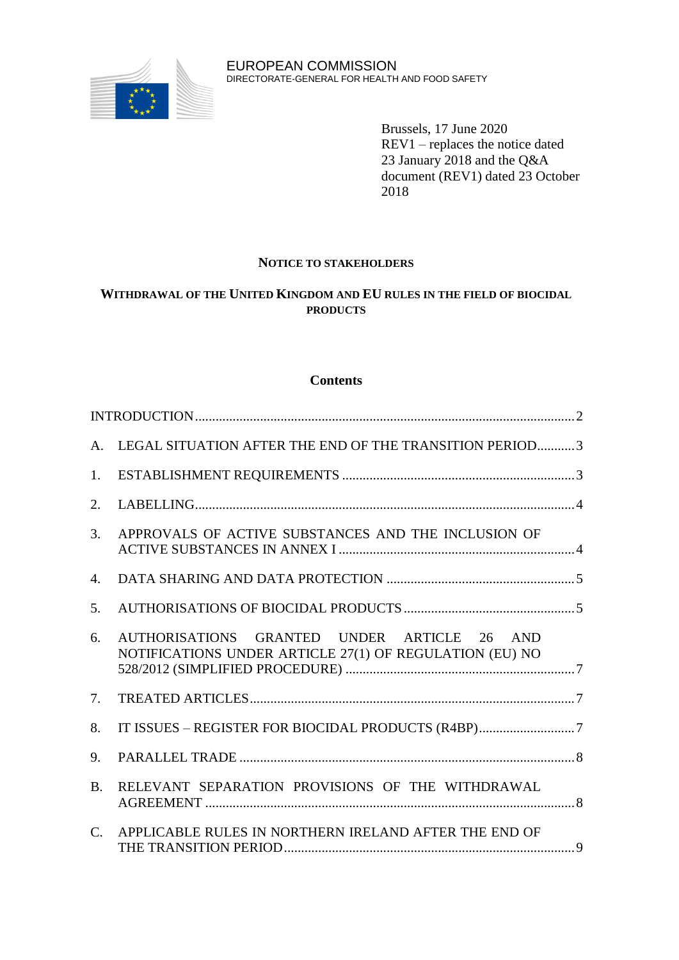

Brussels, 17 June 2020 REV1 – replaces the notice dated 23 January 2018 and the Q&A document (REV1) dated 23 October 2018

## **NOTICE TO STAKEHOLDERS**

# **WITHDRAWAL OF THE UNITED KINGDOM AND EU RULES IN THE FIELD OF BIOCIDAL PRODUCTS**

### **Contents**

| A.        | LEGAL SITUATION AFTER THE END OF THE TRANSITION PERIOD3                                                |  |
|-----------|--------------------------------------------------------------------------------------------------------|--|
| 1.        |                                                                                                        |  |
| 2.        |                                                                                                        |  |
| 3.        | APPROVALS OF ACTIVE SUBSTANCES AND THE INCLUSION OF                                                    |  |
| 4.        |                                                                                                        |  |
| 5.        |                                                                                                        |  |
| 6.        | AUTHORISATIONS GRANTED UNDER ARTICLE 26 AND<br>NOTIFICATIONS UNDER ARTICLE 27(1) OF REGULATION (EU) NO |  |
| 7.        |                                                                                                        |  |
| 8.        |                                                                                                        |  |
| 9.        |                                                                                                        |  |
| <b>B.</b> | RELEVANT SEPARATION PROVISIONS OF THE WITHDRAWAL                                                       |  |
| C.        | APPLICABLE RULES IN NORTHERN IRELAND AFTER THE END OF                                                  |  |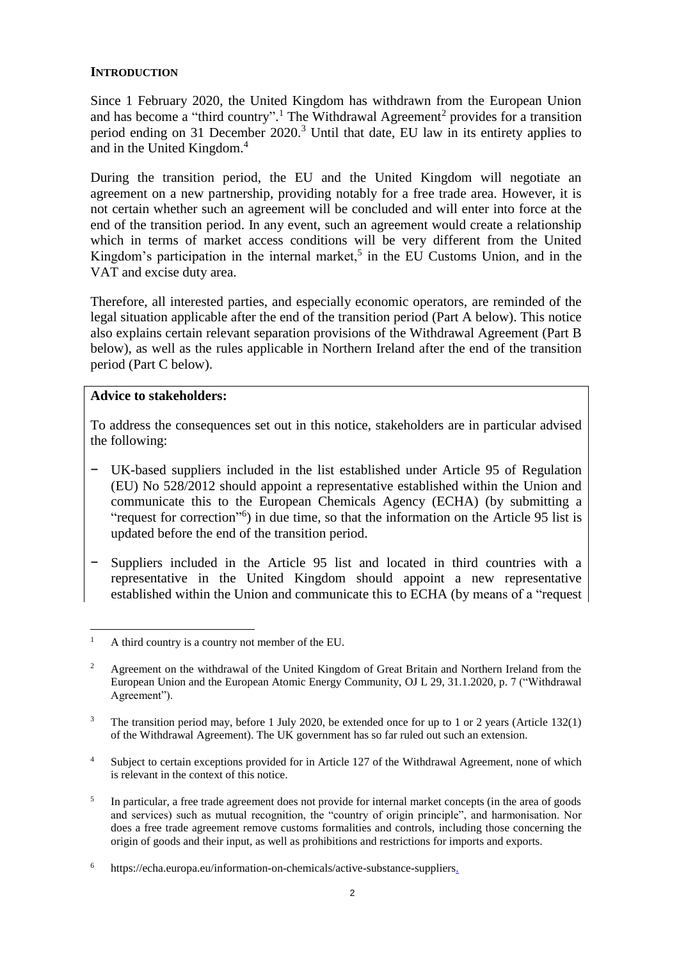## <span id="page-1-0"></span>**INTRODUCTION**

Since 1 February 2020, the United Kingdom has withdrawn from the European Union and has become a "third country".<sup>1</sup> The Withdrawal Agreement<sup>2</sup> provides for a transition period ending on 31 December 2020.<sup>3</sup> Until that date, EU law in its entirety applies to and in the United Kingdom.<sup>4</sup>

During the transition period, the EU and the United Kingdom will negotiate an agreement on a new partnership, providing notably for a free trade area. However, it is not certain whether such an agreement will be concluded and will enter into force at the end of the transition period. In any event, such an agreement would create a relationship which in terms of market access conditions will be very different from the United Kingdom's participation in the internal market,<sup>5</sup> in the EU Customs Union, and in the VAT and excise duty area.

Therefore, all interested parties, and especially economic operators, are reminded of the legal situation applicable after the end of the transition period (Part A below). This notice also explains certain relevant separation provisions of the Withdrawal Agreement (Part B below), as well as the rules applicable in Northern Ireland after the end of the transition period (Part C below).

### **Advice to stakeholders:**

 $\overline{a}$ 

To address the consequences set out in this notice, stakeholders are in particular advised the following:

- UK-based suppliers included in the list established under Article 95 of Regulation (EU) No 528/2012 should appoint a representative established within the Union and communicate this to the European Chemicals Agency (ECHA) (by submitting a ["request for correction"](https://comments.echa.europa.eu/comments_cms/Article95Corrections.aspx)<sup>6</sup>) in due time, so that the information on the Article 95 list is updated before the end of the transition period.
- Suppliers included in the Article 95 list and located in third countries with a representative in the United Kingdom should appoint a new representative established within the Union and communicate this to ECHA (by means of a ["request](https://comments.echa.europa.eu/comments_cms/Article95Corrections.aspx)

<sup>&</sup>lt;sup>1</sup> A third country is a country not member of the EU.

<sup>&</sup>lt;sup>2</sup> Agreement on the withdrawal of the United Kingdom of Great Britain and Northern Ireland from the European Union and the European Atomic Energy Community, OJ L 29, 31.1.2020, p. 7 ("Withdrawal Agreement").

<sup>&</sup>lt;sup>3</sup> The transition period may, before 1 July 2020, be extended once for up to 1 or 2 years (Article 132(1) of the Withdrawal Agreement). The UK government has so far ruled out such an extension.

<sup>&</sup>lt;sup>4</sup> Subject to certain exceptions provided for in Article 127 of the Withdrawal Agreement, none of which is relevant in the context of this notice.

<sup>5</sup> In particular, a free trade agreement does not provide for internal market concepts (in the area of goods and services) such as mutual recognition, the "country of origin principle", and harmonisation. Nor does a free trade agreement remove customs formalities and controls, including those concerning the origin of goods and their input, as well as prohibitions and restrictions for imports and exports.

<sup>6</sup> https://echa.europa.eu/information-on-chemicals/active-substance-suppliers.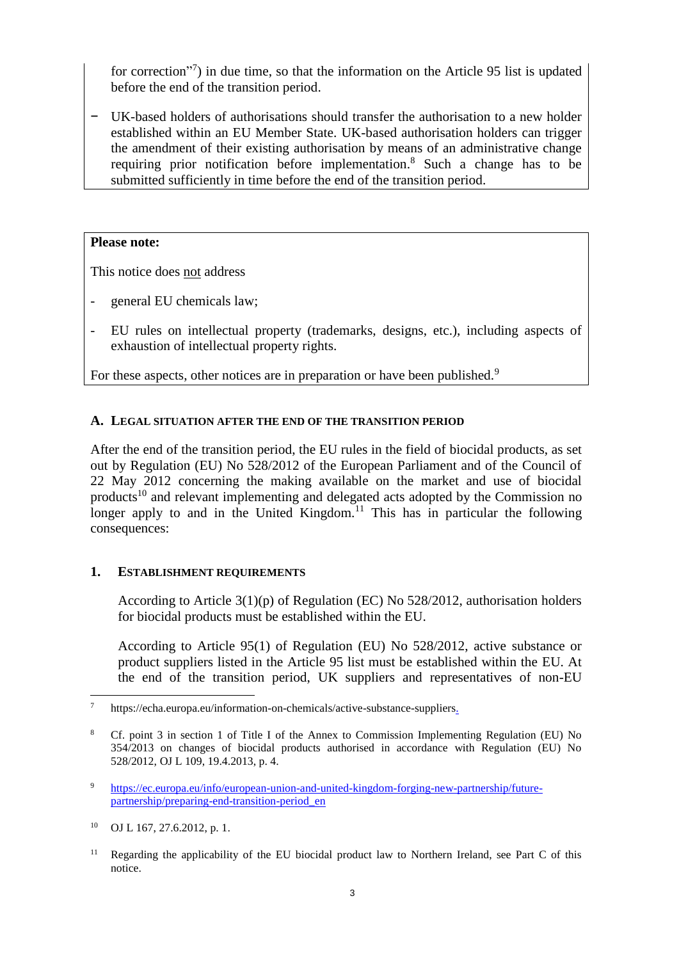[for correction"](https://comments.echa.europa.eu/comments_cms/Article95Corrections.aspx)<sup>7</sup>) in due time, so that the information on the Article 95 list is updated before the end of the transition period.

− UK-based holders of authorisations should transfer the authorisation to a new holder established within an EU Member State. UK-based authorisation holders can trigger the amendment of their existing authorisation by means of an administrative change requiring prior notification before implementation.<sup>8</sup> Such a change has to be submitted sufficiently in time before the end of the transition period.

### **Please note:**

This notice does not address

- general EU chemicals law;
- EU rules on intellectual property (trademarks, designs, etc.), including aspects of exhaustion of intellectual property rights.

For these aspects, other notices are in preparation or have been published.<sup>9</sup>

## <span id="page-2-0"></span>**A. LEGAL SITUATION AFTER THE END OF THE TRANSITION PERIOD**

After the end of the transition period, the EU rules in the field of biocidal products, as set out by Regulation (EU) No 528/2012 of the European Parliament and of the Council of 22 May 2012 concerning the making available on the market and use of biocidal products<sup>10</sup> and relevant implementing and delegated acts adopted by the Commission no longer apply to and in the United Kingdom.<sup>11</sup> This has in particular the following consequences:

### <span id="page-2-1"></span>**1. ESTABLISHMENT REQUIREMENTS**

According to Article 3(1)(p) of Regulation (EC) No 528/2012, authorisation holders for biocidal products must be established within the EU.

According to Article 95(1) of Regulation (EU) No 528/2012, active substance or product suppliers listed in the Article 95 list must be established within the EU. At the end of the transition period, UK suppliers and representatives of non-EU

<sup>7</sup> https://echa.europa.eu/information-on-chemicals/active-substance-suppliers.

<sup>8</sup> Cf. point 3 in section 1 of Title I of the Annex to Commission Implementing Regulation (EU) No 354/2013 on changes of biocidal products authorised in accordance with Regulation (EU) No 528/2012, OJ L 109, 19.4.2013, p. 4.

<sup>9</sup> [https://ec.europa.eu/info/european-union-and-united-kingdom-forging-new-partnership/future](https://ec.europa.eu/info/european-union-and-united-kingdom-forging-new-partnership/future-partnership/preparing-end-transition-period_en)[partnership/preparing-end-transition-period\\_en](https://ec.europa.eu/info/european-union-and-united-kingdom-forging-new-partnership/future-partnership/preparing-end-transition-period_en)

<sup>10</sup> OJ L 167, 27.6.2012, p. 1.

<sup>&</sup>lt;sup>11</sup> Regarding the applicability of the EU biocidal product law to Northern Ireland, see Part C of this notice.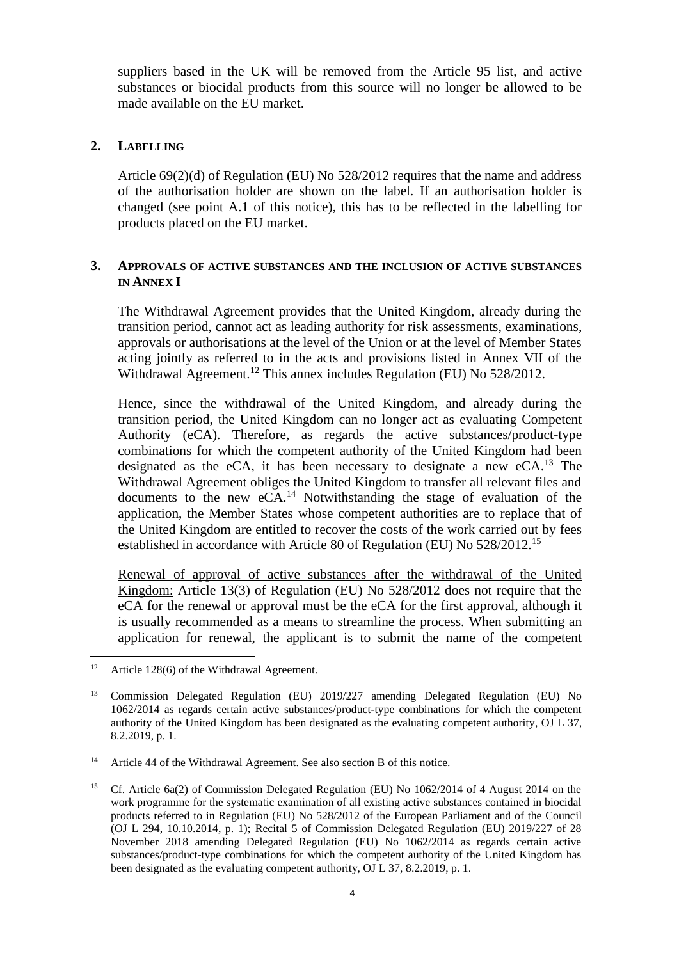suppliers based in the UK will be removed from the Article 95 list, and active substances or biocidal products from this source will no longer be allowed to be made available on the EU market.

### <span id="page-3-0"></span>**2. LABELLING**

Article 69(2)(d) of Regulation (EU) No 528/2012 requires that the name and address of the authorisation holder are shown on the label. If an authorisation holder is changed (see point A.1 of this notice), this has to be reflected in the labelling for products placed on the EU market.

## <span id="page-3-1"></span>**3. APPROVALS OF ACTIVE SUBSTANCES AND THE INCLUSION OF ACTIVE SUBSTANCES IN ANNEX I**

The Withdrawal Agreement provides that the United Kingdom, already during the transition period, cannot act as leading authority for risk assessments, examinations, approvals or authorisations at the level of the Union or at the level of Member States acting jointly as referred to in the acts and provisions listed in Annex VII of the Withdrawal Agreement.<sup>12</sup> This annex includes Regulation (EU) No 528/2012.

Hence, since the withdrawal of the United Kingdom, and already during the transition period, the United Kingdom can no longer act as evaluating Competent Authority (eCA). Therefore, as regards the active substances/product-type combinations for which the competent authority of the United Kingdom had been designated as the eCA, it has been necessary to designate a new  $eCA$ <sup>13</sup>. The Withdrawal Agreement obliges the United Kingdom to transfer all relevant files and documents to the new  $eCA<sup>14</sup>$ . Notwithstanding the stage of evaluation of the application, the Member States whose competent authorities are to replace that of the United Kingdom are entitled to recover the costs of the work carried out by fees established in accordance with Article 80 of Regulation (EU) No 528/2012.<sup>15</sup>

Renewal of approval of active substances after the withdrawal of the United Kingdom: Article 13(3) of Regulation (EU) No 528/2012 does not require that the eCA for the renewal or approval must be the eCA for the first approval, although it is usually recommended as a means to streamline the process. When submitting an application for renewal, the applicant is to submit the name of the competent

<sup>&</sup>lt;sup>12</sup> Article 128(6) of the Withdrawal Agreement.

<sup>13</sup> Commission Delegated Regulation (EU) 2019/227 amending Delegated Regulation (EU) No 1062/2014 as regards certain active substances/product-type combinations for which the competent authority of the United Kingdom has been designated as the evaluating competent authority, OJ L 37, 8.2.2019, p. 1.

<sup>&</sup>lt;sup>14</sup> Article 44 of the Withdrawal Agreement. See also section B of this notice.

<sup>&</sup>lt;sup>15</sup> Cf. Article 6a(2) of Commission Delegated Regulation (EU) No 1062/2014 of 4 August 2014 on the work programme for the systematic examination of all existing active substances contained in biocidal products referred to in Regulation (EU) No 528/2012 of the European Parliament and of the Council (OJ L 294, 10.10.2014, p. 1); Recital 5 of Commission Delegated Regulation (EU) 2019/227 of 28 November 2018 amending Delegated Regulation (EU) No 1062/2014 as regards certain active substances/product-type combinations for which the competent authority of the United Kingdom has been designated as the evaluating competent authority, OJ L 37, 8.2.2019, p. 1.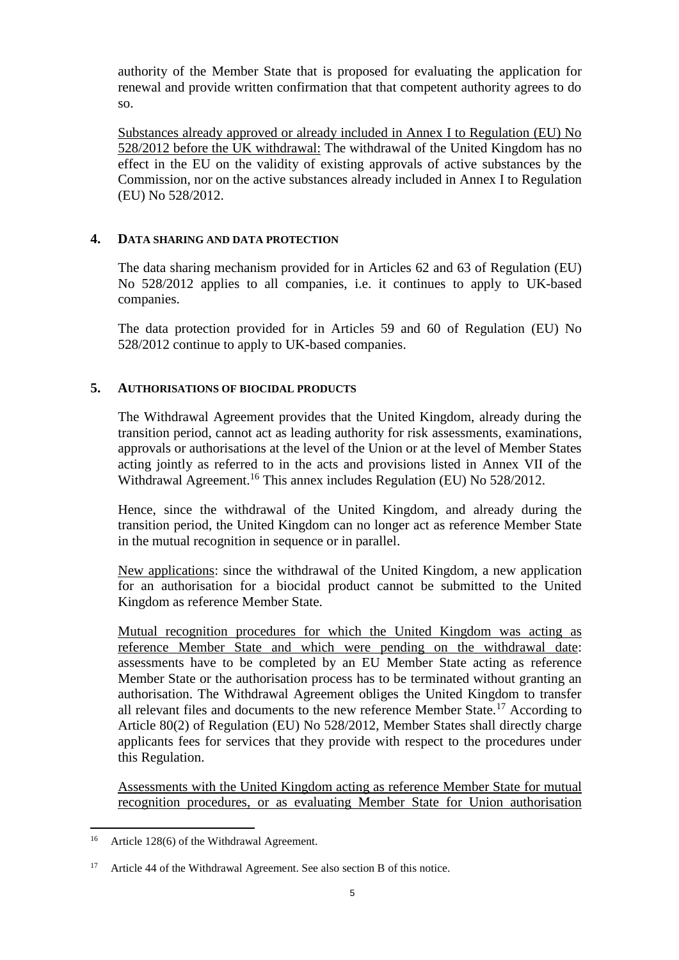authority of the Member State that is proposed for evaluating the application for renewal and provide written confirmation that that competent authority agrees to do so.

Substances already approved or already included in Annex I to Regulation (EU) No 528/2012 before the UK withdrawal: The withdrawal of the United Kingdom has no effect in the EU on the validity of existing approvals of active substances by the Commission, nor on the active substances already included in Annex I to Regulation (EU) No 528/2012.

## <span id="page-4-0"></span>**4. DATA SHARING AND DATA PROTECTION**

The data sharing mechanism provided for in Articles 62 and 63 of Regulation (EU) No 528/2012 applies to all companies, i.e. it continues to apply to UK-based companies.

The data protection provided for in Articles 59 and 60 of Regulation (EU) No 528/2012 continue to apply to UK-based companies.

## <span id="page-4-1"></span>**5. AUTHORISATIONS OF BIOCIDAL PRODUCTS**

The Withdrawal Agreement provides that the United Kingdom, already during the transition period, cannot act as leading authority for risk assessments, examinations, approvals or authorisations at the level of the Union or at the level of Member States acting jointly as referred to in the acts and provisions listed in Annex VII of the Withdrawal Agreement.<sup>16</sup> This annex includes Regulation (EU) No 528/2012.

Hence, since the withdrawal of the United Kingdom, and already during the transition period, the United Kingdom can no longer act as reference Member State in the mutual recognition in sequence or in parallel.

New applications: since the withdrawal of the United Kingdom, a new application for an authorisation for a biocidal product cannot be submitted to the United Kingdom as reference Member State.

Mutual recognition procedures for which the United Kingdom was acting as reference Member State and which were pending on the withdrawal date: assessments have to be completed by an EU Member State acting as reference Member State or the authorisation process has to be terminated without granting an authorisation. The Withdrawal Agreement obliges the United Kingdom to transfer all relevant files and documents to the new reference Member State.<sup>17</sup> According to Article 80(2) of Regulation (EU) No 528/2012, Member States shall directly charge applicants fees for services that they provide with respect to the procedures under this Regulation.

Assessments with the United Kingdom acting as reference Member State for mutual recognition procedures, or as evaluating Member State for Union authorisation

<sup>&</sup>lt;sup>16</sup> Article 128(6) of the Withdrawal Agreement.

<sup>&</sup>lt;sup>17</sup> Article 44 of the Withdrawal Agreement. See also section B of this notice.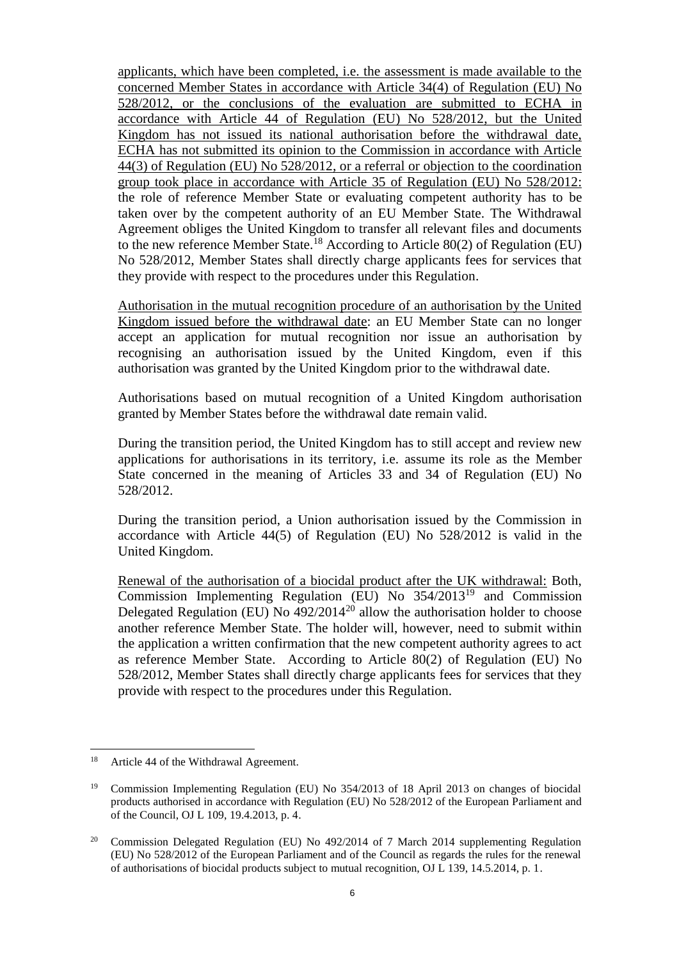applicants, which have been completed, i.e. the assessment is made available to the concerned Member States in accordance with Article 34(4) of Regulation (EU) No 528/2012, or the conclusions of the evaluation are submitted to ECHA in accordance with Article 44 of Regulation (EU) No 528/2012, but the United Kingdom has not issued its national authorisation before the withdrawal date, ECHA has not submitted its opinion to the Commission in accordance with Article 44(3) of Regulation (EU) No 528/2012, or a referral or objection to the coordination group took place in accordance with Article 35 of Regulation (EU) No 528/2012: the role of reference Member State or evaluating competent authority has to be taken over by the competent authority of an EU Member State. The Withdrawal Agreement obliges the United Kingdom to transfer all relevant files and documents to the new reference Member State.<sup>18</sup> According to Article 80(2) of Regulation (EU) No 528/2012, Member States shall directly charge applicants fees for services that they provide with respect to the procedures under this Regulation.

Authorisation in the mutual recognition procedure of an authorisation by the United Kingdom issued before the withdrawal date: an EU Member State can no longer accept an application for mutual recognition nor issue an authorisation by recognising an authorisation issued by the United Kingdom, even if this authorisation was granted by the United Kingdom prior to the withdrawal date.

Authorisations based on mutual recognition of a United Kingdom authorisation granted by Member States before the withdrawal date remain valid.

During the transition period, the United Kingdom has to still accept and review new applications for authorisations in its territory, i.e. assume its role as the Member State concerned in the meaning of Articles 33 and 34 of Regulation (EU) No 528/2012.

During the transition period, a Union authorisation issued by the Commission in accordance with Article 44(5) of Regulation (EU) No 528/2012 is valid in the United Kingdom.

Renewal of the authorisation of a biocidal product after the UK withdrawal: Both, Commission Implementing Regulation (EU) No 354/2013<sup>19</sup> and Commission Delegated Regulation (EU) No  $\frac{492}{2014^{20}}$  allow the authorisation holder to choose another reference Member State. The holder will, however, need to submit within the application a written confirmation that the new competent authority agrees to act as reference Member State. According to Article 80(2) of Regulation (EU) No 528/2012, Member States shall directly charge applicants fees for services that they provide with respect to the procedures under this Regulation.

<sup>&</sup>lt;sup>18</sup> Article 44 of the Withdrawal Agreement.

<sup>&</sup>lt;sup>19</sup> Commission Implementing Regulation (EU) No 354/2013 of 18 April 2013 on changes of biocidal products authorised in accordance with Regulation (EU) No 528/2012 of the European Parliament and of the Council, OJ L 109, 19.4.2013, p. 4.

<sup>&</sup>lt;sup>20</sup> Commission Delegated Regulation (EU) No  $492/2014$  of 7 March 2014 supplementing Regulation (EU) No 528/2012 of the European Parliament and of the Council as regards the rules for the renewal of authorisations of biocidal products subject to mutual recognition, OJ L 139, 14.5.2014, p. 1.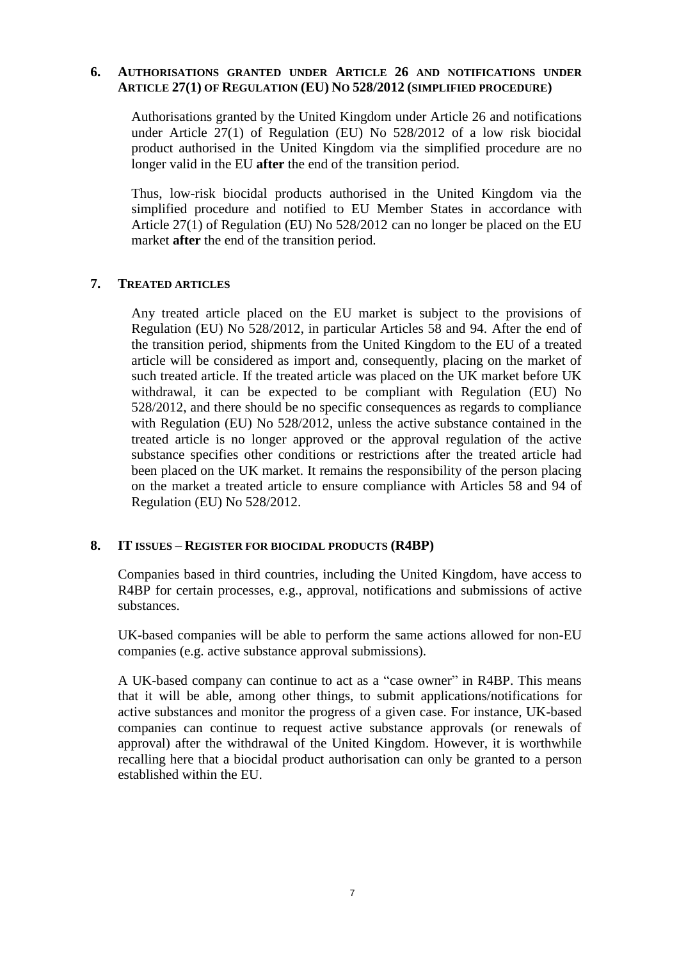## <span id="page-6-0"></span>**6. AUTHORISATIONS GRANTED UNDER ARTICLE 26 AND NOTIFICATIONS UNDER ARTICLE 27(1) OF REGULATION (EU) NO 528/2012 (SIMPLIFIED PROCEDURE)**

Authorisations granted by the United Kingdom under Article 26 and notifications under Article 27(1) of Regulation (EU) No 528/2012 of a low risk biocidal product authorised in the United Kingdom via the simplified procedure are no longer valid in the EU **after** the end of the transition period.

Thus, low-risk biocidal products authorised in the United Kingdom via the simplified procedure and notified to EU Member States in accordance with Article 27(1) of Regulation (EU) No 528/2012 can no longer be placed on the EU market **after** the end of the transition period.

#### <span id="page-6-1"></span>**7. TREATED ARTICLES**

Any treated article placed on the EU market is subject to the provisions of Regulation (EU) No 528/2012, in particular Articles 58 and 94. After the end of the transition period, shipments from the United Kingdom to the EU of a treated article will be considered as import and, consequently, placing on the market of such treated article. If the treated article was placed on the UK market before UK withdrawal, it can be expected to be compliant with Regulation (EU) No 528/2012, and there should be no specific consequences as regards to compliance with Regulation (EU) No 528/2012, unless the active substance contained in the treated article is no longer approved or the approval regulation of the active substance specifies other conditions or restrictions after the treated article had been placed on the UK market. It remains the responsibility of the person placing on the market a treated article to ensure compliance with Articles 58 and 94 of Regulation (EU) No 528/2012.

### <span id="page-6-2"></span>**8. IT ISSUES – REGISTER FOR BIOCIDAL PRODUCTS (R4BP)**

Companies based in third countries, including the United Kingdom, have access to R4BP for certain processes, e.g., approval, notifications and submissions of active substances.

UK-based companies will be able to perform the same actions allowed for non-EU companies (e.g. active substance approval submissions).

A UK-based company can continue to act as a "case owner" in R4BP. This means that it will be able, among other things, to submit applications/notifications for active substances and monitor the progress of a given case. For instance, UK-based companies can continue to request active substance approvals (or renewals of approval) after the withdrawal of the United Kingdom. However, it is worthwhile recalling here that a biocidal product authorisation can only be granted to a person established within the EU.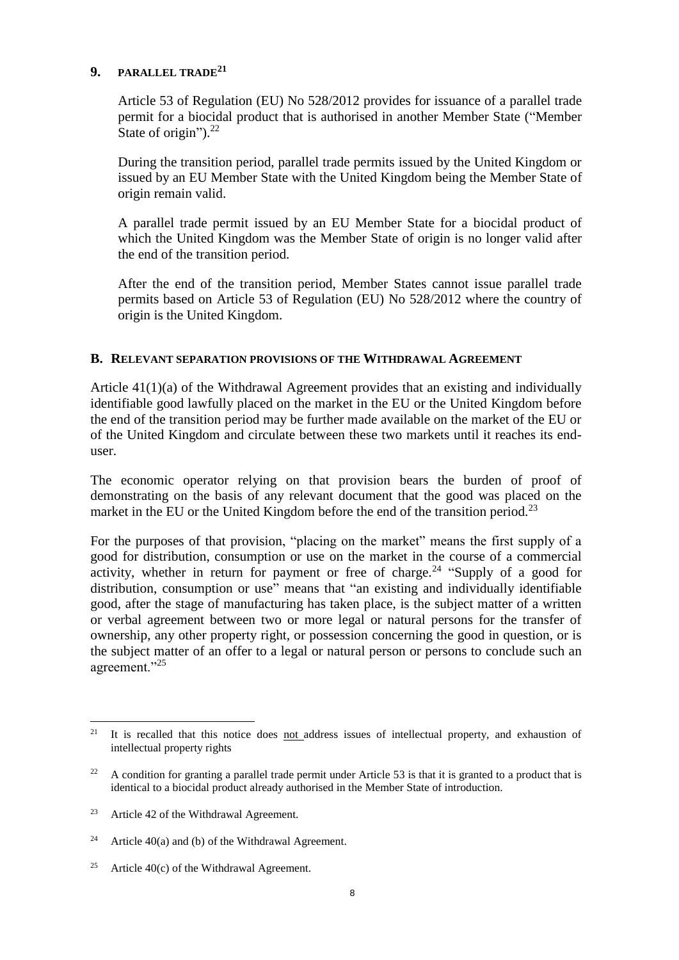## <span id="page-7-0"></span>**9. PARALLEL TRADE<sup>21</sup>**

Article 53 of Regulation (EU) No 528/2012 provides for issuance of a parallel trade permit for a biocidal product that is authorised in another Member State ("Member State of origin").<sup>22</sup>

During the transition period, parallel trade permits issued by the United Kingdom or issued by an EU Member State with the United Kingdom being the Member State of origin remain valid.

A parallel trade permit issued by an EU Member State for a biocidal product of which the United Kingdom was the Member State of origin is no longer valid after the end of the transition period.

After the end of the transition period, Member States cannot issue parallel trade permits based on Article 53 of Regulation (EU) No 528/2012 where the country of origin is the United Kingdom.

## <span id="page-7-1"></span>**B. RELEVANT SEPARATION PROVISIONS OF THE WITHDRAWAL AGREEMENT**

Article 41(1)(a) of the Withdrawal Agreement provides that an existing and individually identifiable good lawfully placed on the market in the EU or the United Kingdom before the end of the transition period may be further made available on the market of the EU or of the United Kingdom and circulate between these two markets until it reaches its enduser.

The economic operator relying on that provision bears the burden of proof of demonstrating on the basis of any relevant document that the good was placed on the market in the EU or the United Kingdom before the end of the transition period.<sup>23</sup>

For the purposes of that provision, "placing on the market" means the first supply of a good for distribution, consumption or use on the market in the course of a commercial activity, whether in return for payment or free of charge.<sup>24</sup> "Supply of a good for distribution, consumption or use" means that "an existing and individually identifiable good, after the stage of manufacturing has taken place, is the subject matter of a written or verbal agreement between two or more legal or natural persons for the transfer of ownership, any other property right, or possession concerning the good in question, or is the subject matter of an offer to a legal or natural person or persons to conclude such an agreement."<sup>25</sup>

<sup>&</sup>lt;sup>21</sup> It is recalled that this notice does <u>not a</u>ddress issues of intellectual property, and exhaustion of intellectual property rights

<sup>&</sup>lt;sup>22</sup> A condition for granting a parallel trade permit under Article 53 is that it is granted to a product that is identical to a biocidal product already authorised in the Member State of introduction.

<sup>&</sup>lt;sup>23</sup> Article 42 of the Withdrawal Agreement.

<sup>&</sup>lt;sup>24</sup> Article 40(a) and (b) of the Withdrawal Agreement.

<sup>&</sup>lt;sup>25</sup> Article 40(c) of the Withdrawal Agreement.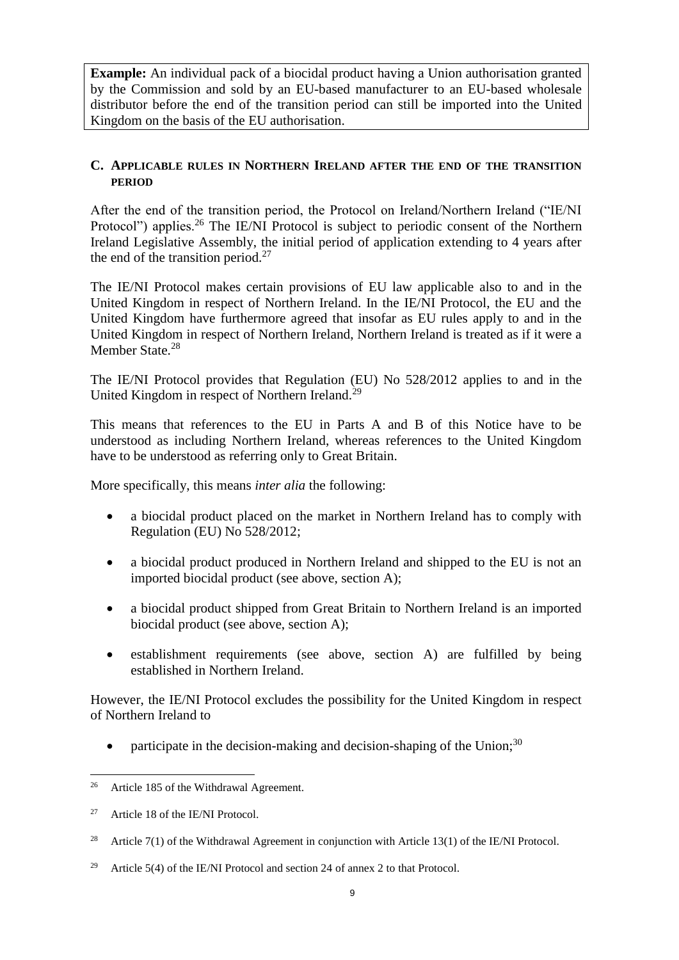**Example:** An individual pack of a biocidal product having a Union authorisation granted by the Commission and sold by an EU-based manufacturer to an EU-based wholesale distributor before the end of the transition period can still be imported into the United Kingdom on the basis of the EU authorisation.

## <span id="page-8-0"></span>**C. APPLICABLE RULES IN NORTHERN IRELAND AFTER THE END OF THE TRANSITION PERIOD**

After the end of the transition period, the Protocol on Ireland/Northern Ireland ("IE/NI Protocol") applies.<sup>26</sup> The IE/NI Protocol is subject to periodic consent of the Northern Ireland Legislative Assembly, the initial period of application extending to 4 years after the end of the transition period. $27$ 

The IE/NI Protocol makes certain provisions of EU law applicable also to and in the United Kingdom in respect of Northern Ireland. In the IE/NI Protocol, the EU and the United Kingdom have furthermore agreed that insofar as EU rules apply to and in the United Kingdom in respect of Northern Ireland, Northern Ireland is treated as if it were a Member State.<sup>28</sup>

The IE/NI Protocol provides that Regulation (EU) No 528/2012 applies to and in the United Kingdom in respect of Northern Ireland.<sup>29</sup>

This means that references to the EU in Parts A and B of this Notice have to be understood as including Northern Ireland, whereas references to the United Kingdom have to be understood as referring only to Great Britain.

More specifically, this means *inter alia* the following:

- a biocidal product placed on the market in Northern Ireland has to comply with Regulation (EU) No 528/2012;
- a biocidal product produced in Northern Ireland and shipped to the EU is not an imported biocidal product (see above, section A);
- a biocidal product shipped from Great Britain to Northern Ireland is an imported biocidal product (see above, section A);
- establishment requirements (see above, section A) are fulfilled by being established in Northern Ireland.

However, the IE/NI Protocol excludes the possibility for the United Kingdom in respect of Northern Ireland to

participate in the decision-making and decision-shaping of the Union;<sup>30</sup>

<sup>&</sup>lt;sup>26</sup> Article 185 of the Withdrawal Agreement.

<sup>&</sup>lt;sup>27</sup> Article 18 of the IE/NI Protocol.

<sup>&</sup>lt;sup>28</sup> Article 7(1) of the Withdrawal Agreement in conjunction with Article 13(1) of the IE/NI Protocol.

<sup>&</sup>lt;sup>29</sup> Article 5(4) of the IE/NI Protocol and section 24 of annex 2 to that Protocol.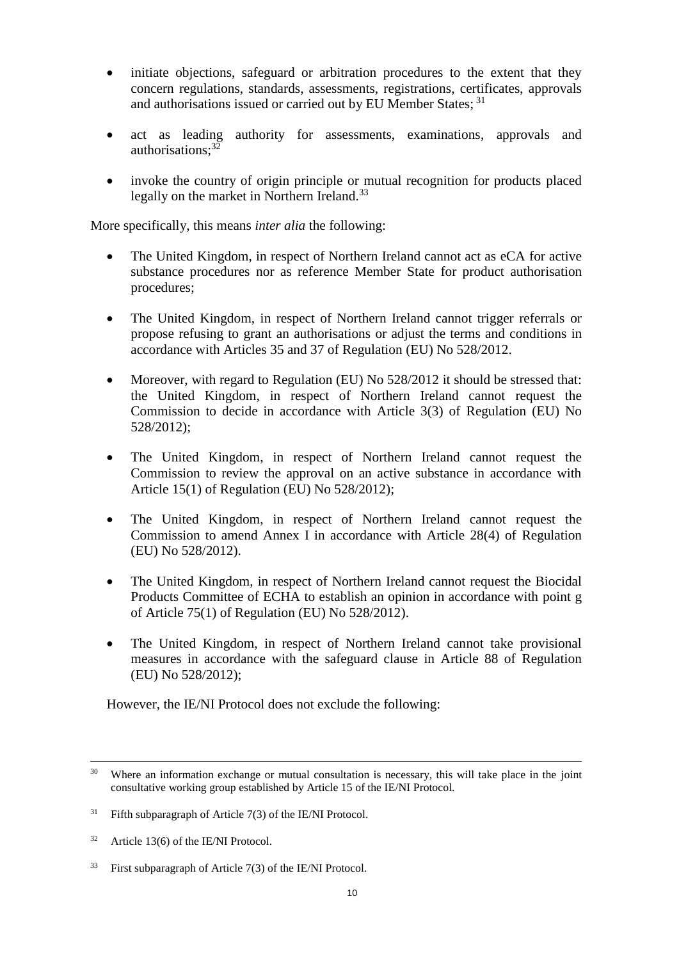- initiate objections, safeguard or arbitration procedures to the extent that they concern regulations, standards, assessments, registrations, certificates, approvals and authorisations issued or carried out by EU Member States; <sup>31</sup>
- act as leading authority for assessments, examinations, approvals and authorisations: $3\overline{2}$
- invoke the country of origin principle or mutual recognition for products placed legally on the market in Northern Ireland.<sup>33</sup>

More specifically, this means *inter alia* the following:

- The United Kingdom, in respect of Northern Ireland cannot act as eCA for active substance procedures nor as reference Member State for product authorisation procedures;
- The United Kingdom, in respect of Northern Ireland cannot trigger referrals or propose refusing to grant an authorisations or adjust the terms and conditions in accordance with Articles 35 and 37 of Regulation (EU) No 528/2012.
- Moreover, with regard to Regulation (EU) No 528/2012 it should be stressed that: the United Kingdom, in respect of Northern Ireland cannot request the Commission to decide in accordance with Article 3(3) of Regulation (EU) No 528/2012);
- The United Kingdom, in respect of Northern Ireland cannot request the Commission to review the approval on an active substance in accordance with Article 15(1) of Regulation (EU) No 528/2012);
- The United Kingdom, in respect of Northern Ireland cannot request the Commission to amend Annex I in accordance with Article 28(4) of Regulation (EU) No 528/2012).
- The United Kingdom, in respect of Northern Ireland cannot request the Biocidal Products Committee of ECHA to establish an opinion in accordance with point g of Article 75(1) of Regulation (EU) No 528/2012).
- The United Kingdom, in respect of Northern Ireland cannot take provisional measures in accordance with the safeguard clause in Article 88 of Regulation (EU) No 528/2012);

However, the IE/NI Protocol does not exclude the following:

<sup>&</sup>lt;sup>30</sup> Where an information exchange or mutual consultation is necessary, this will take place in the joint consultative working group established by Article 15 of the IE/NI Protocol.

 $31$  Fifth subparagraph of Article 7(3) of the IE/NI Protocol.

<sup>32</sup> Article 13(6) of the IE/NI Protocol.

 $33$  First subparagraph of Article 7(3) of the IE/NI Protocol.